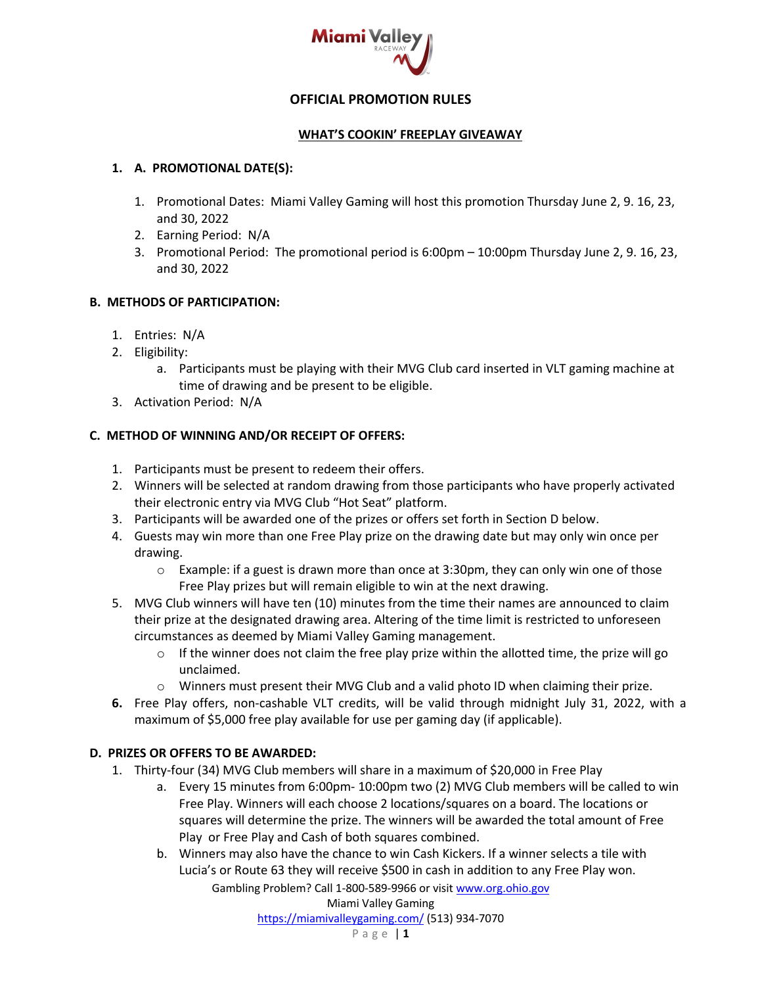

# **OFFICIAL PROMOTION RULES**

#### **WHAT'S COOKIN' FREEPLAY GIVEAWAY**

#### **1. A. PROMOTIONAL DATE(S):**

- 1. Promotional Dates: Miami Valley Gaming will host this promotion Thursday June 2, 9. 16, 23, and 30, 2022
- 2. Earning Period: N/A
- 3. Promotional Period: The promotional period is 6:00pm 10:00pm Thursday June 2, 9. 16, 23, and 30, 2022

## **B. METHODS OF PARTICIPATION:**

- 1. Entries: N/A
- 2. Eligibility:
	- a. Participants must be playing with their MVG Club card inserted in VLT gaming machine at time of drawing and be present to be eligible.
- 3. Activation Period: N/A

## **C. METHOD OF WINNING AND/OR RECEIPT OF OFFERS:**

- 1. Participants must be present to redeem their offers.
- 2. Winners will be selected at random drawing from those participants who have properly activated their electronic entry via MVG Club "Hot Seat" platform.
- 3. Participants will be awarded one of the prizes or offers set forth in Section D below.
- 4. Guests may win more than one Free Play prize on the drawing date but may only win once per drawing.
	- $\circ$  Example: if a guest is drawn more than once at 3:30pm, they can only win one of those Free Play prizes but will remain eligible to win at the next drawing.
- 5. MVG Club winners will have ten (10) minutes from the time their names are announced to claim their prize at the designated drawing area. Altering of the time limit is restricted to unforeseen circumstances as deemed by Miami Valley Gaming management.
	- $\circ$  If the winner does not claim the free play prize within the allotted time, the prize will go unclaimed.
	- $\circ$  Winners must present their MVG Club and a valid photo ID when claiming their prize.
- **6.** Free Play offers, non-cashable VLT credits, will be valid through midnight July 31, 2022, with a maximum of \$5,000 free play available for use per gaming day (if applicable).

# **D. PRIZES OR OFFERS TO BE AWARDED:**

- 1. Thirty-four (34) MVG Club members will share in a maximum of \$20,000 in Free Play
	- a. Every 15 minutes from 6:00pm- 10:00pm two (2) MVG Club members will be called to win Free Play. Winners will each choose 2 locations/squares on a board. The locations or squares will determine the prize. The winners will be awarded the total amount of Free Play or Free Play and Cash of both squares combined.
	- b. Winners may also have the chance to win Cash Kickers. If a winner selects a tile with Lucia's or Route 63 they will receive \$500 in cash in addition to any Free Play won.

Gambling Problem? Call 1-800-589-9966 or visit www.org.ohio.gov

https://miamivalleygaming.com/ (513) 934-7070